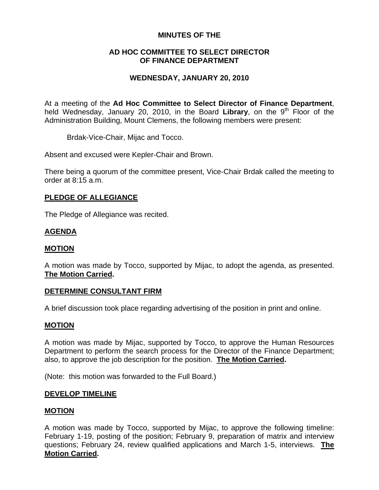## **MINUTES OF THE**

### **AD HOC COMMITTEE TO SELECT DIRECTOR OF FINANCE DEPARTMENT**

# **WEDNESDAY, JANUARY 20, 2010**

At a meeting of the **Ad Hoc Committee to Select Director of Finance Department**, held Wednesday, January 20, 2010, in the Board Library, on the 9<sup>th</sup> Floor of the Administration Building, Mount Clemens, the following members were present:

Brdak-Vice-Chair, Mijac and Tocco.

Absent and excused were Kepler-Chair and Brown.

There being a quorum of the committee present, Vice-Chair Brdak called the meeting to order at 8:15 a.m.

### **PLEDGE OF ALLEGIANCE**

The Pledge of Allegiance was recited.

## **AGENDA**

#### **MOTION**

A motion was made by Tocco, supported by Mijac, to adopt the agenda, as presented. **The Motion Carried.** 

#### **DETERMINE CONSULTANT FIRM**

A brief discussion took place regarding advertising of the position in print and online.

#### **MOTION**

A motion was made by Mijac, supported by Tocco, to approve the Human Resources Department to perform the search process for the Director of the Finance Department; also, to approve the job description for the position. **The Motion Carried.** 

(Note: this motion was forwarded to the Full Board.)

#### **DEVELOP TIMELINE**

## **MOTION**

A motion was made by Tocco, supported by Mijac, to approve the following timeline: February 1-19, posting of the position; February 9, preparation of matrix and interview questions; February 24, review qualified applications and March 1-5, interviews. **The Motion Carried.**